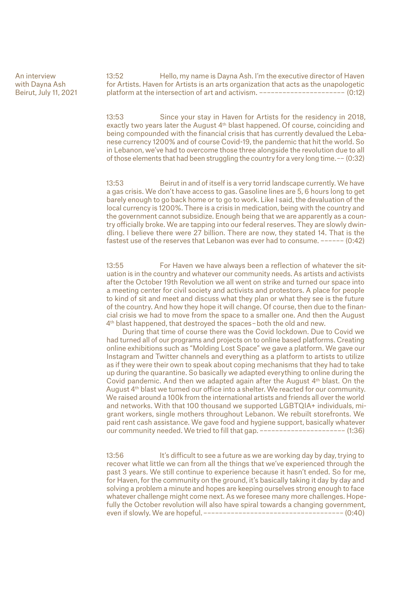An interview with Dayna Ash Beirut, July 11, 2021 13:52 Hello, my name is Dayna Ash. I'm the executive director of Haven for Artists. Haven for Artists is an arts organization that acts as the unapologetic platform at the intersection of art and activism. –––––––––––––––––––––– (0:12)

13:53 Since your stay in Haven for Artists for the residency in 2018, exactly two years later the August 4th blast happened. Of course, coinciding and being compounded with the financial crisis that has currently devalued the Lebanese currency 1200% and of course Covid-19, the pandemic that hit the world. So in Lebanon, we've had to overcome those three alongside the revolution due to all of those elements that had been struggling the country for a very long time. –– (0:32)

13:53 Beirut in and of itself is a very torrid landscape currently. We have a gas crisis. We don't have access to gas. Gasoline lines are 5, 6 hours long to get barely enough to go back home or to go to work. Like I said, the devaluation of the local currency is 1200%. There is a crisis in medication, being with the country and the government cannot subsidize. Enough being that we are apparently as a country officially broke. We are tapping into our federal reserves. They are slowly dwindling. I believe there were 27 billion. There are now, they stated 14. That is the fastest use of the reserves that Lebanon was ever had to consume. –––––– (0:42)

13:55 For Haven we have always been a reflection of whatever the situation is in the country and whatever our community needs. As artists and activists after the October 19th Revolution we all went on strike and turned our space into a meeting center for civil society and activists and protestors. A place for people to kind of sit and meet and discuss what they plan or what they see is the future of the country. And how they hope it will change. Of course, then due to the financial crisis we had to move from the space to a smaller one. And then the August 4<sup>th</sup> blast happened, that destroyed the spaces-both the old and new.

During that time of course there was the Covid lockdown. Due to Covid we had turned all of our programs and projects on to online based platforms. Creating online exhibitions such as "Molding Lost Space" we gave a platform. We gave our Instagram and Twitter channels and everything as a platform to artists to utilize as if they were their own to speak about coping mechanisms that they had to take up during the quarantine. So basically we adapted everything to online during the Covid pandemic. And then we adapted again after the August 4th blast. On the August 4th blast we turned our office into a shelter. We reacted for our community. We raised around a 100k from the international artists and friends all over the world and networks. With that 100 thousand we supported LGBTQIA+ individuals, migrant workers, single mothers throughout Lebanon. We rebuilt storefronts. We paid rent cash assistance. We gave food and hygiene support, basically whatever our community needed. We tried to fill that gap. –––––––––––––––––––––– (1:36)

13:56 It's difficult to see a future as we are working day by day, trying to recover what little we can from all the things that we've experienced through the past 3 years. We still continue to experience because it hasn't ended. So for me, for Haven, for the community on the ground, it's basically taking it day by day and solving a problem a minute and hopes are keeping ourselves strong enough to face whatever challenge might come next. As we foresee many more challenges. Hopefully the October revolution will also have spiral towards a changing government, even if slowly. We are hopeful. –––––––––––––––––––––––––––––––––––– (0:40)